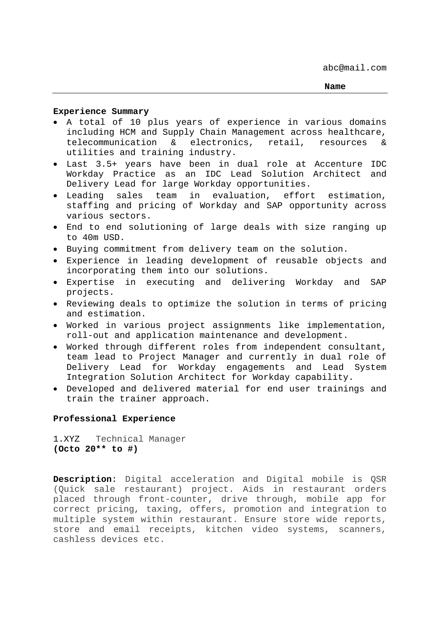## **Experience Summary**

- A total of 10 plus years of experience in various domains including HCM and Supply Chain Management across healthcare, telecommunication & electronics, retail, resources & utilities and training industry.
- Last 3.5+ years have been in dual role at Accenture IDC Workday Practice as an IDC Lead Solution Architect and Delivery Lead for large Workday opportunities.
- Leading sales team in evaluation, effort estimation, staffing and pricing of Workday and SAP opportunity across various sectors.
- End to end solutioning of large deals with size ranging up to 40m USD.
- Buying commitment from delivery team on the solution.
- Experience in leading development of reusable objects and incorporating them into our solutions.
- Expertise in executing and delivering Workday and SAP projects.
- Reviewing deals to optimize the solution in terms of pricing and estimation.
- Worked in various project assignments like implementation, roll-out and application maintenance and development.
- Worked through different roles from independent consultant, team lead to Project Manager and currently in dual role of Delivery Lead for Workday engagements and Lead System Integration Solution Architect for Workday capability.
- Developed and delivered material for end user trainings and train the trainer approach.

# **Professional Experience**

1.XYZTechnical Manager **(Octo 20\*\* to #)** 

**Description**: Digital acceleration and Digital mobile is QSR (Quick sale restaurant) project. Aids in restaurant orders placed through front-counter, drive through, mobile app for correct pricing, taxing, offers, promotion and integration to multiple system within restaurant. Ensure store wide reports, store and email receipts, kitchen video systems, scanners, cashless devices etc.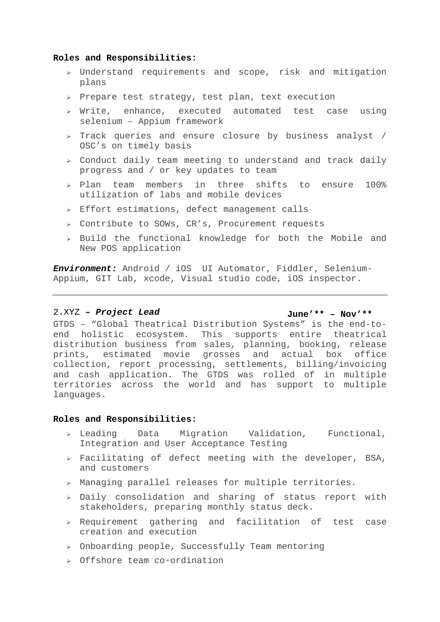## **Roles and Responsibilities:**

- Understand requirements and scope, risk and mitigation plans
- $\ge$  Prepare test strategy, test plan, text execution
- $\triangleright$  Write, enhance, executed automated test case using selenium – Appium framework
- $\triangleright$  Track queries and ensure closure by business analyst / OSC's on timely basis
- $\ge$  Conduct daily team meeting to understand and track daily progress and / or key updates to team
- $>$  Plan team members in three shifts to ensure 100% utilization of labs and mobile devices
- $\ge$  Effort estimations, defect management calls
- Contribute to SOWs, CR's, Procurement requests
- $\ge$  Build the functional knowledge for both the Mobile and New POS application

*Environment:* Android / iOS UI Automator, Fiddler, Selenium-Appium, GIT Lab, xcode, Visual studio code, iOS inspector.

# 2.XYZ *– Project Lead* **June'\*\* – Nov'\*\***

GTDS - "Global Theatrical Distribution Systems" is the end-toend holistic ecosystem. This supports entire theatrical distribution business from sales, planning, booking, release prints, estimated movie grosses and actual box office collection, report processing, settlements, billing/invoicing and cash application. The GTDS was rolled of in multiple territories across the world and has support to multiple languages.

### **Roles and Responsibilities:**

- $\ge$  Leading Data Migration Validation, Functional, Integration and User Acceptance Testing
- $\triangleright$  Facilitating of defect meeting with the developer, BSA, and customers
- Managing parallel releases for multiple territories.
- $\ge$  Daily consolidation and sharing of status report with stakeholders, preparing monthly status deck.
- $\triangleright$  Requirement gathering and facilitation of test case creation and execution
- $\geq$  Onboarding people, Successfully Team mentoring
- Offshore team co-ordination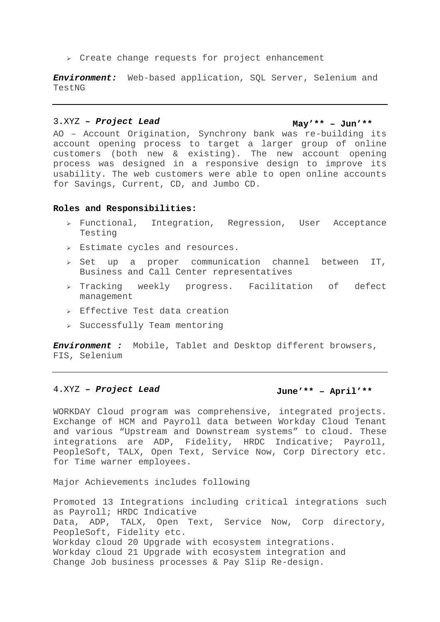$\triangleright$  Create change requests for project enhancement

*Environment:* Web-based application, SQL Server, Selenium and TestNG

# 3.XYZ *– Project Lead* **May'\*\* – Jun'\*\***

AO – Account Origination, Synchrony bank was re-building its account opening process to target a larger group of online customers (both new & existing). The new account opening process was designed in a responsive design to improve its usability. The web customers were able to open online accounts for Savings, Current, CD, and Jumbo CD.

### **Roles and Responsibilities:**

- Functional, Integration, Regression, User Acceptance Testing
- Estimate cycles and resources.
- $>$  Set up a proper communication channel between IT, Business and Call Center representatives
- $\triangleright$  Tracking weekly progress. Facilitation of defect management
- $\geq$  Effective Test data creation
- $\geq$  Successfully Team mentoring

*Environment :* Mobile, Tablet and Desktop different browsers, FIS, Selenium

# 4.XYZ *– Project Lead* **June'\*\* – April'\*\***

WORKDAY Cloud program was comprehensive, integrated projects. Exchange of HCM and Payroll data between Workday Cloud Tenant and various "Upstream and Downstream systems" to cloud. These integrations are ADP, Fidelity, HRDC Indicative; Payroll, PeopleSoft, TALX, Open Text, Service Now, Corp Directory etc. for Time warner employees.

Major Achievements includes following

Promoted 13 Integrations including critical integrations such as Payroll; HRDC Indicative Data, ADP, TALX, Open Text, Service Now, Corp directory, PeopleSoft, Fidelity etc. Workday cloud 20 Upgrade with ecosystem integrations. Workday cloud 21 Upgrade with ecosystem integration and Change Job business processes & Pay Slip Re-design.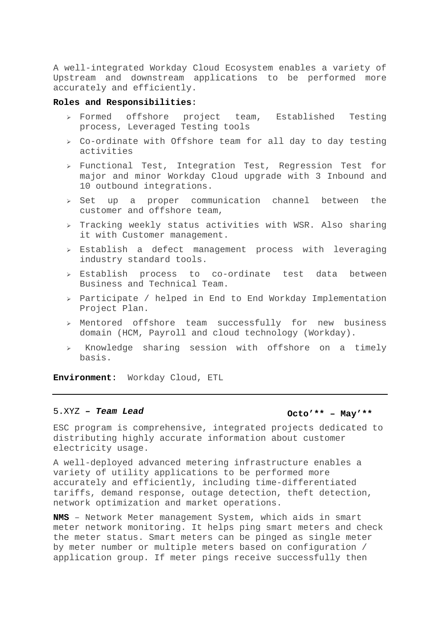A well-integrated Workday Cloud Ecosystem enables a variety of Upstream and downstream applications to be performed more accurately and efficiently.

# **Roles and Responsibilities**:

- Formed offshore project team, Established Testing process, Leveraged Testing tools
- $\ge$  Co-ordinate with Offshore team for all day to day testing activities
- $\ge$  Functional Test, Integration Test, Regression Test for major and minor Workday Cloud upgrade with 3 Inbound and 10 outbound integrations.
- $\ge$  Set up a proper communication channel between the customer and offshore team,
- $\triangleright$  Tracking weekly status activities with WSR. Also sharing it with Customer management.
- $\ge$  Establish a defect management process with leveraging industry standard tools.
- Establish process to co-ordinate test data between Business and Technical Team.
- $\ge$  Participate / helped in End to End Workday Implementation Project Plan.
- Mentored offshore team successfully for new business domain (HCM, Payroll and cloud technology (Workday).
- $\ge$  Knowledge sharing session with offshore on a timely basis.

**Environment**: Workday Cloud, ETL

# 5.XYZ – Team Lead **Octo<sup>'\*\*</sup> – May'\*\***

ESC program is comprehensive, integrated projects dedicated to distributing highly accurate information about customer electricity usage.

A well-deployed advanced metering infrastructure enables a variety of utility applications to be performed more accurately and efficiently, including time-differentiated tariffs, demand response, outage detection, theft detection, network optimization and market operations.

**NMS** – Network Meter management System, which aids in smart meter network monitoring. It helps ping smart meters and check the meter status. Smart meters can be pinged as single meter by meter number or multiple meters based on configuration / application group. If meter pings receive successfully then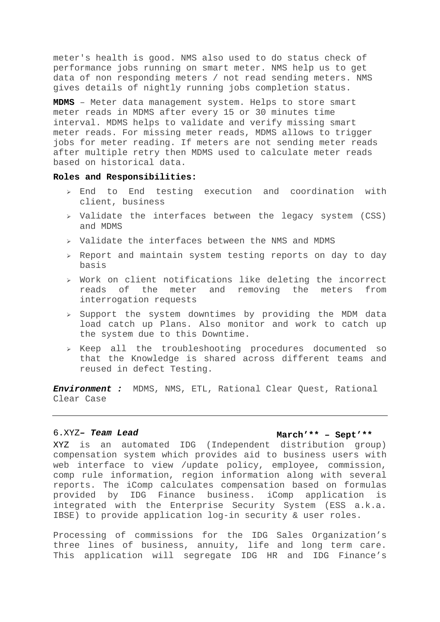meter's health is good. NMS also used to do status check of performance jobs running on smart meter. NMS help us to get data of non responding meters / not read sending meters. NMS gives details of nightly running jobs completion status.

**MDMS** – Meter data management system. Helps to store smart meter reads in MDMS after every 15 or 30 minutes time interval. MDMS helps to validate and verify missing smart meter reads. For missing meter reads, MDMS allows to trigger jobs for meter reading. If meters are not sending meter reads after multiple retry then MDMS used to calculate meter reads based on historical data.

## **Roles and Responsibilities:**

- $\ge$  End to End testing execution and coordination with client, business
- $\triangleright$  Validate the interfaces between the legacy system (CSS) and MDMS
- $\triangleright$  Validate the interfaces between the NMS and MDMS
- $\ge$  Report and maintain system testing reports on day to day basis
- $\rightarrow$  Work on client notifications like deleting the incorrect reads of the meter and removing the meters from interrogation requests
- $\ge$  Support the system downtimes by providing the MDM data load catch up Plans. Also monitor and work to catch up the system due to this Downtime.
- $\ge$  Keep all the troubleshooting procedures documented so that the Knowledge is shared across different teams and reused in defect Testing.

*Environment :* MDMS, NMS, ETL, Rational Clear Quest, Rational Clear Case

# 6.XYZ*– Team Lead* **March'\*\* – Sept'\*\***

XYZ is an automated IDG (Independent distribution group) compensation system which provides aid to business users with web interface to view /update policy, employee, commission, comp rule information, region information along with several reports. The iComp calculates compensation based on formulas provided by IDG Finance business. iComp application is integrated with the Enterprise Security System (ESS a.k.a. IBSE) to provide application log-in security & user roles.

Processing of commissions for the IDG Sales Organization's three lines of business, annuity, life and long term care. This application will segregate IDG HR and IDG Finance's